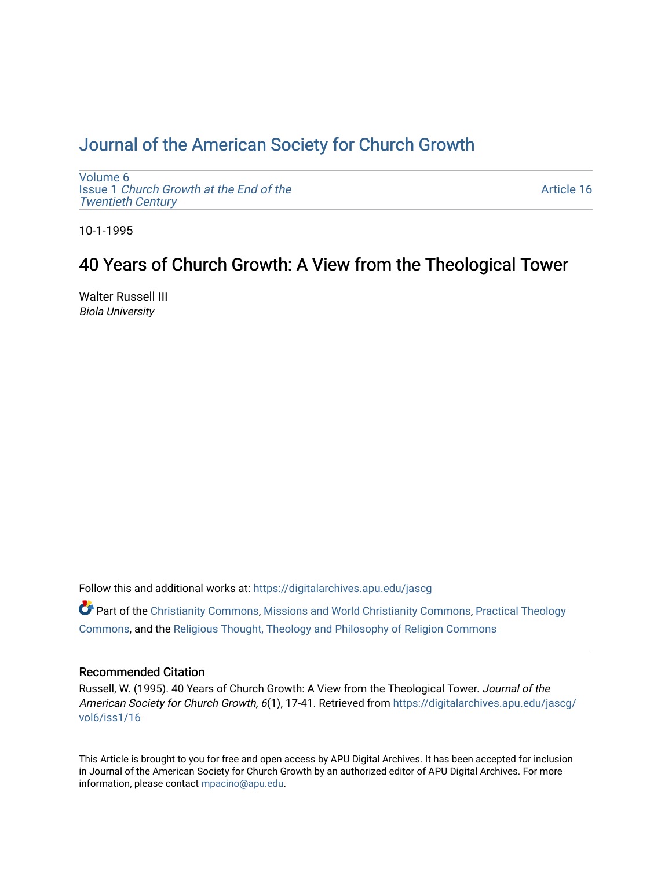# [Journal of the American Society for Church Growth](https://digitalarchives.apu.edu/jascg)

[Volume 6](https://digitalarchives.apu.edu/jascg/vol6) Issue 1 [Church Growth at the End of the](https://digitalarchives.apu.edu/jascg/vol6/iss1) [Twentieth Century](https://digitalarchives.apu.edu/jascg/vol6/iss1) 

[Article 16](https://digitalarchives.apu.edu/jascg/vol6/iss1/16) 

10-1-1995

# 40 Years of Church Growth: A View from the Theological Tower

Walter Russell III Biola University

Follow this and additional works at: [https://digitalarchives.apu.edu/jascg](https://digitalarchives.apu.edu/jascg?utm_source=digitalarchives.apu.edu%2Fjascg%2Fvol6%2Fiss1%2F16&utm_medium=PDF&utm_campaign=PDFCoverPages) 

 $\bullet$  Part of the [Christianity Commons,](https://network.bepress.com/hgg/discipline/1181?utm_source=digitalarchives.apu.edu%2Fjascg%2Fvol6%2Fiss1%2F16&utm_medium=PDF&utm_campaign=PDFCoverPages) [Missions and World Christianity Commons](https://network.bepress.com/hgg/discipline/1187?utm_source=digitalarchives.apu.edu%2Fjascg%2Fvol6%2Fiss1%2F16&utm_medium=PDF&utm_campaign=PDFCoverPages), Practical Theology [Commons](https://network.bepress.com/hgg/discipline/1186?utm_source=digitalarchives.apu.edu%2Fjascg%2Fvol6%2Fiss1%2F16&utm_medium=PDF&utm_campaign=PDFCoverPages), and the [Religious Thought, Theology and Philosophy of Religion Commons](https://network.bepress.com/hgg/discipline/544?utm_source=digitalarchives.apu.edu%2Fjascg%2Fvol6%2Fiss1%2F16&utm_medium=PDF&utm_campaign=PDFCoverPages) 

# Recommended Citation

Russell, W. (1995). 40 Years of Church Growth: A View from the Theological Tower. Journal of the American Society for Church Growth, 6(1), 17-41. Retrieved from [https://digitalarchives.apu.edu/jascg/](https://digitalarchives.apu.edu/jascg/vol6/iss1/16?utm_source=digitalarchives.apu.edu%2Fjascg%2Fvol6%2Fiss1%2F16&utm_medium=PDF&utm_campaign=PDFCoverPages) [vol6/iss1/16](https://digitalarchives.apu.edu/jascg/vol6/iss1/16?utm_source=digitalarchives.apu.edu%2Fjascg%2Fvol6%2Fiss1%2F16&utm_medium=PDF&utm_campaign=PDFCoverPages)

This Article is brought to you for free and open access by APU Digital Archives. It has been accepted for inclusion in Journal of the American Society for Church Growth by an authorized editor of APU Digital Archives. For more information, please contact [mpacino@apu.edu](mailto:mpacino@apu.edu).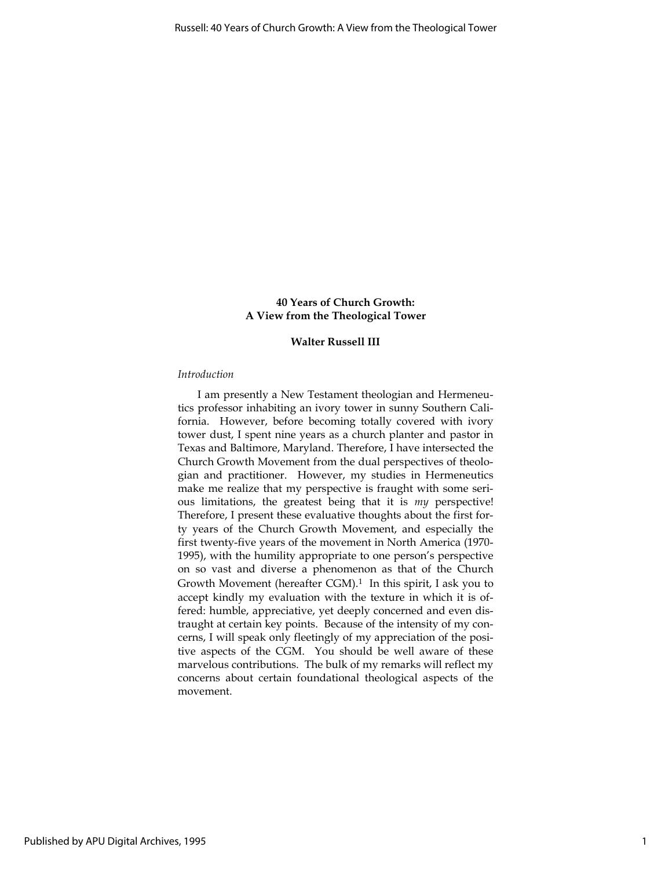# 40 Years of Church Growth: A View from the Theological Tower

## Walter Russell III

## Introduction

I am presently a New Testament theologian and Hermeneutics professor inhabiting an ivory tower in sunny Southern California. However, before becoming totally covered with ivory tower dust, I spent nine years as a church planter and pastor in Texas and Baltimore, Maryland. Therefore, I have intersected the Church Growth Movement from the dual perspectives of theologian and practitioner. However, my studies in Hermeneutics make me realize that my perspective is fraught with some serious limitations, the greatest being that it is my perspective! Therefore, I present these evaluative thoughts about the first forty years of the Church Growth Movement, and especially the first twenty-five years of the movement in North America (1970- 1995), with the humility appropriate to one person's perspective on so vast and diverse a phenomenon as that of the Church Growth Movement (hereafter CGM).<sup>1</sup> In this spirit, I ask you to accept kindly my evaluation with the texture in which it is offered: humble, appreciative, yet deeply concerned and even distraught at certain key points. Because of the intensity of my concerns, I will speak only fleetingly of my appreciation of the positive aspects of the CGM. You should be well aware of these marvelous contributions. The bulk of my remarks will reflect my concerns about certain foundational theological aspects of the movement.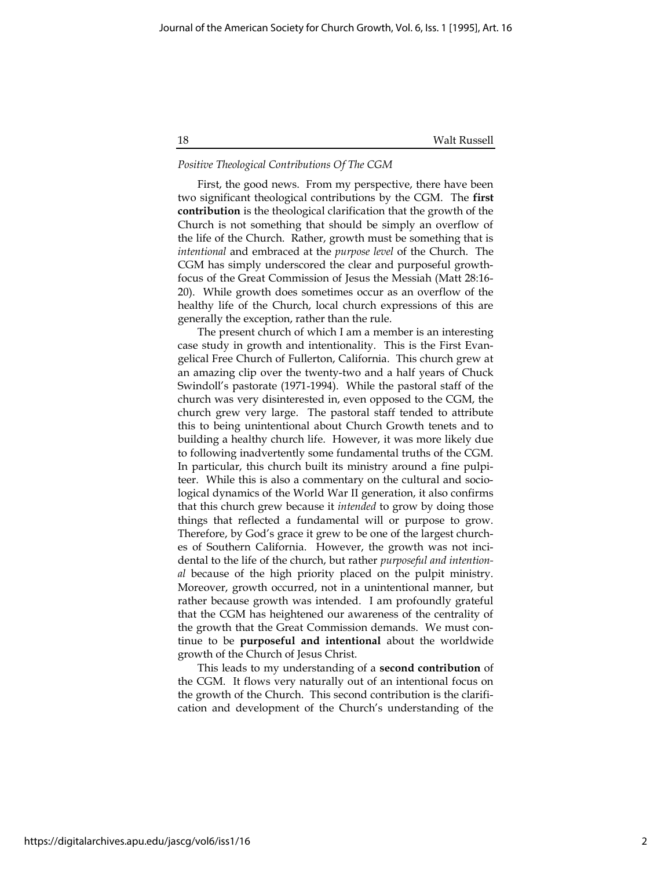## Positive Theological Contributions Of The CGM

First, the good news. From my perspective, there have been two significant theological contributions by the CGM. The first contribution is the theological clarification that the growth of the Church is not something that should be simply an overflow of the life of the Church. Rather, growth must be something that is intentional and embraced at the purpose level of the Church. The CGM has simply underscored the clear and purposeful growthfocus of the Great Commission of Jesus the Messiah (Matt 28:16- 20). While growth does sometimes occur as an overflow of the healthy life of the Church, local church expressions of this are generally the exception, rather than the rule.

The present church of which I am a member is an interesting case study in growth and intentionality. This is the First Evangelical Free Church of Fullerton, California. This church grew at an amazing clip over the twenty-two and a half years of Chuck Swindoll's pastorate (1971-1994). While the pastoral staff of the church was very disinterested in, even opposed to the CGM, the church grew very large. The pastoral staff tended to attribute this to being unintentional about Church Growth tenets and to building a healthy church life. However, it was more likely due to following inadvertently some fundamental truths of the CGM. In particular, this church built its ministry around a fine pulpiteer. While this is also a commentary on the cultural and sociological dynamics of the World War II generation, it also confirms that this church grew because it *intended* to grow by doing those things that reflected a fundamental will or purpose to grow. Therefore, by God's grace it grew to be one of the largest churches of Southern California. However, the growth was not incidental to the life of the church, but rather purposeful and intentional because of the high priority placed on the pulpit ministry. Moreover, growth occurred, not in a unintentional manner, but rather because growth was intended. I am profoundly grateful that the CGM has heightened our awareness of the centrality of the growth that the Great Commission demands. We must continue to be purposeful and intentional about the worldwide growth of the Church of Jesus Christ.

This leads to my understanding of a second contribution of the CGM. It flows very naturally out of an intentional focus on the growth of the Church. This second contribution is the clarification and development of the Church's understanding of the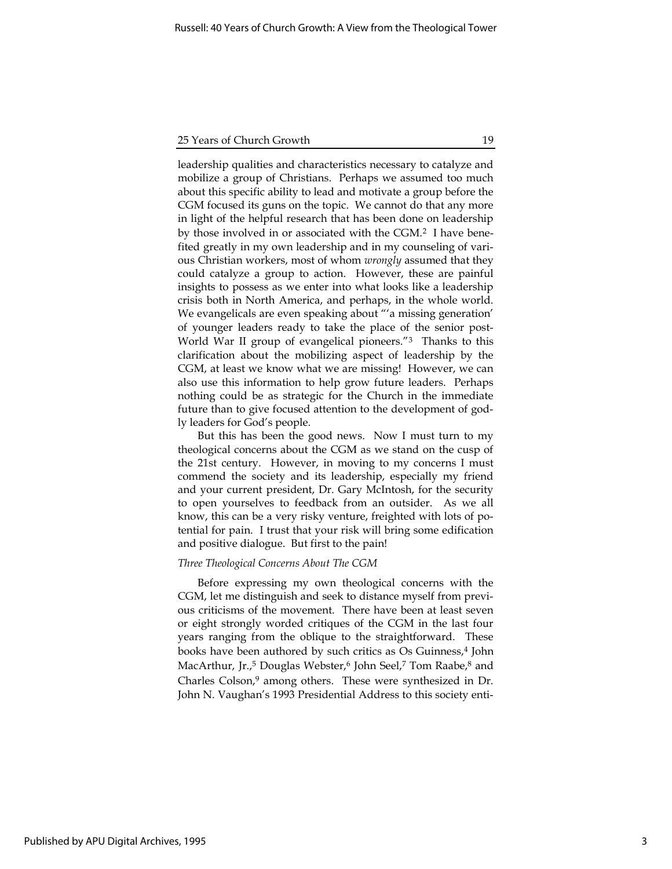leadership qualities and characteristics necessary to catalyze and mobilize a group of Christians. Perhaps we assumed too much about this specific ability to lead and motivate a group before the CGM focused its guns on the topic. We cannot do that any more in light of the helpful research that has been done on leadership by those involved in or associated with the CGM.<sup>2</sup> I have benefited greatly in my own leadership and in my counseling of various Christian workers, most of whom wrongly assumed that they could catalyze a group to action. However, these are painful insights to possess as we enter into what looks like a leadership crisis both in North America, and perhaps, in the whole world. We evangelicals are even speaking about "'a missing generation' of younger leaders ready to take the place of the senior post-World War II group of evangelical pioneers."<sup>3</sup> Thanks to this clarification about the mobilizing aspect of leadership by the CGM, at least we know what we are missing! However, we can also use this information to help grow future leaders. Perhaps nothing could be as strategic for the Church in the immediate future than to give focused attention to the development of godly leaders for God's people.

But this has been the good news. Now I must turn to my theological concerns about the CGM as we stand on the cusp of the 21st century. However, in moving to my concerns I must commend the society and its leadership, especially my friend and your current president, Dr. Gary McIntosh, for the security to open yourselves to feedback from an outsider. As we all know, this can be a very risky venture, freighted with lots of potential for pain. I trust that your risk will bring some edification and positive dialogue. But first to the pain!

#### Three Theological Concerns About The CGM

Before expressing my own theological concerns with the CGM, let me distinguish and seek to distance myself from previous criticisms of the movement. There have been at least seven or eight strongly worded critiques of the CGM in the last four years ranging from the oblique to the straightforward. These books have been authored by such critics as Os Guinness,<sup>4</sup> John MacArthur, Jr.,<sup>5</sup> Douglas Webster,<sup>6</sup> John Seel,<sup>7</sup> Tom Raabe,<sup>8</sup> and Charles Colson,<sup>9</sup> among others. These were synthesized in Dr. John N. Vaughan's 1993 Presidential Address to this society enti-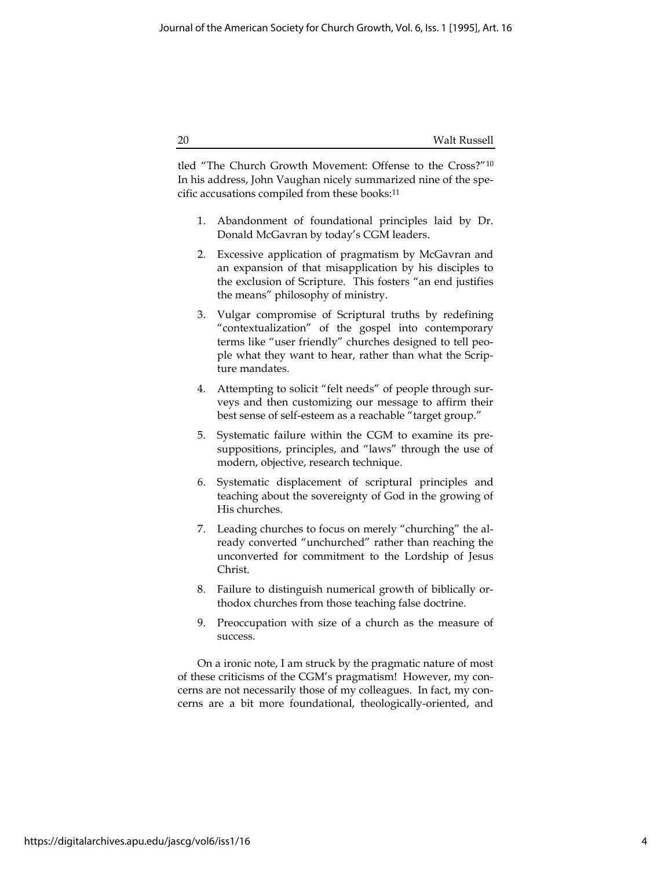tled "The Church Growth Movement: Offense to the Cross?"<sup>10</sup> In his address, John Vaughan nicely summarized nine of the specific accusations compiled from these books:<sup>11</sup>

- 1. Abandonment of foundational principles laid by Dr. Donald McGavran by today's CGM leaders.
- 2. Excessive application of pragmatism by McGavran and an expansion of that misapplication by his disciples to the exclusion of Scripture. This fosters "an end justifies the means" philosophy of ministry.
- 3. Vulgar compromise of Scriptural truths by redefining "contextualization" of the gospel into contemporary terms like "user friendly" churches designed to tell people what they want to hear, rather than what the Scripture mandates.
- 4. Attempting to solicit "felt needs" of people through surveys and then customizing our message to affirm their best sense of self-esteem as a reachable "target group."
- 5. Systematic failure within the CGM to examine its presuppositions, principles, and "laws" through the use of modern, objective, research technique.
- 6. Systematic displacement of scriptural principles and teaching about the sovereignty of God in the growing of His churches.
- 7. Leading churches to focus on merely "churching" the already converted "unchurched" rather than reaching the unconverted for commitment to the Lordship of Jesus Christ.
- 8. Failure to distinguish numerical growth of biblically orthodox churches from those teaching false doctrine.
- 9. Preoccupation with size of a church as the measure of success.

On a ironic note, I am struck by the pragmatic nature of most of these criticisms of the CGM's pragmatism! However, my concerns are not necessarily those of my colleagues. In fact, my concerns are a bit more foundational, theologically-oriented, and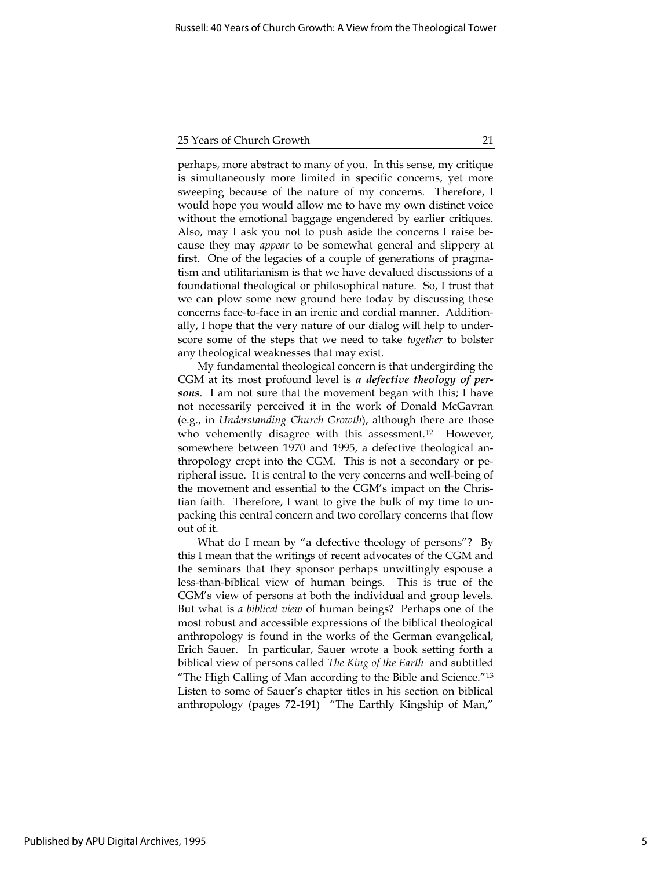perhaps, more abstract to many of you. In this sense, my critique is simultaneously more limited in specific concerns, yet more sweeping because of the nature of my concerns. Therefore, I would hope you would allow me to have my own distinct voice without the emotional baggage engendered by earlier critiques. Also, may I ask you not to push aside the concerns I raise because they may appear to be somewhat general and slippery at first. One of the legacies of a couple of generations of pragmatism and utilitarianism is that we have devalued discussions of a foundational theological or philosophical nature. So, I trust that we can plow some new ground here today by discussing these concerns face-to-face in an irenic and cordial manner. Additionally, I hope that the very nature of our dialog will help to underscore some of the steps that we need to take together to bolster any theological weaknesses that may exist.

My fundamental theological concern is that undergirding the CGM at its most profound level is a defective theology of persons. I am not sure that the movement began with this; I have not necessarily perceived it in the work of Donald McGavran (e.g., in Understanding Church Growth), although there are those who vehemently disagree with this assessment.<sup>12</sup> However, somewhere between 1970 and 1995, a defective theological anthropology crept into the CGM. This is not a secondary or peripheral issue. It is central to the very concerns and well-being of the movement and essential to the CGM's impact on the Christian faith. Therefore, I want to give the bulk of my time to unpacking this central concern and two corollary concerns that flow out of it.

What do I mean by "a defective theology of persons"? By this I mean that the writings of recent advocates of the CGM and the seminars that they sponsor perhaps unwittingly espouse a less-than-biblical view of human beings. This is true of the CGM's view of persons at both the individual and group levels. But what is a biblical view of human beings? Perhaps one of the most robust and accessible expressions of the biblical theological anthropology is found in the works of the German evangelical, Erich Sauer. In particular, Sauer wrote a book setting forth a biblical view of persons called The King of the Earth and subtitled "The High Calling of Man according to the Bible and Science."<sup>13</sup> Listen to some of Sauer's chapter titles in his section on biblical anthropology (pages 72-191) "The Earthly Kingship of Man,"

5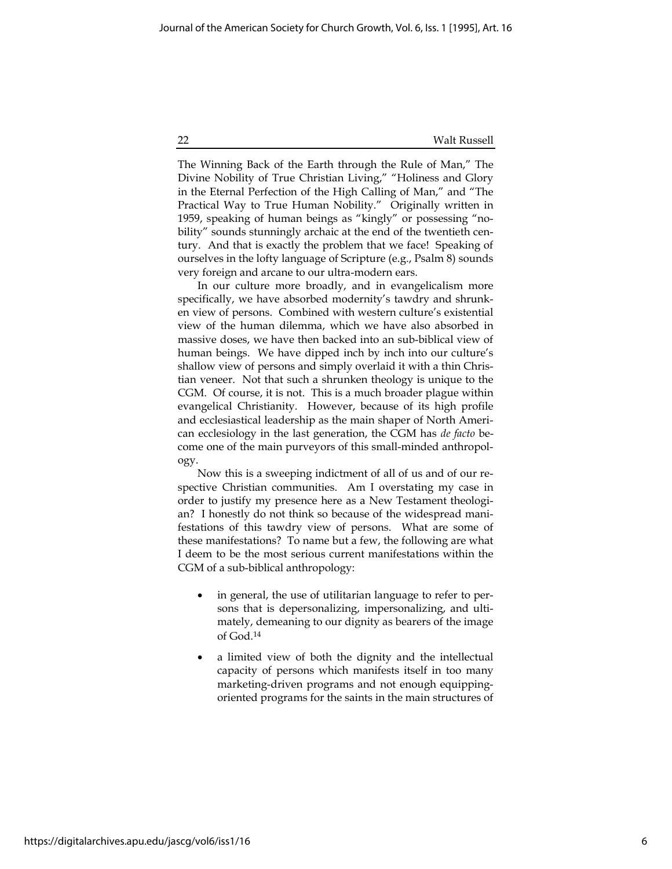The Winning Back of the Earth through the Rule of Man," The Divine Nobility of True Christian Living," "Holiness and Glory in the Eternal Perfection of the High Calling of Man," and "The Practical Way to True Human Nobility." Originally written in 1959, speaking of human beings as "kingly" or possessing "nobility" sounds stunningly archaic at the end of the twentieth century. And that is exactly the problem that we face! Speaking of ourselves in the lofty language of Scripture (e.g., Psalm 8) sounds very foreign and arcane to our ultra-modern ears.

In our culture more broadly, and in evangelicalism more specifically, we have absorbed modernity's tawdry and shrunken view of persons. Combined with western culture's existential view of the human dilemma, which we have also absorbed in massive doses, we have then backed into an sub-biblical view of human beings. We have dipped inch by inch into our culture's shallow view of persons and simply overlaid it with a thin Christian veneer. Not that such a shrunken theology is unique to the CGM. Of course, it is not. This is a much broader plague within evangelical Christianity. However, because of its high profile and ecclesiastical leadership as the main shaper of North American ecclesiology in the last generation, the CGM has de facto become one of the main purveyors of this small-minded anthropology.

Now this is a sweeping indictment of all of us and of our respective Christian communities. Am I overstating my case in order to justify my presence here as a New Testament theologian? I honestly do not think so because of the widespread manifestations of this tawdry view of persons. What are some of these manifestations? To name but a few, the following are what I deem to be the most serious current manifestations within the CGM of a sub-biblical anthropology:

- in general, the use of utilitarian language to refer to persons that is depersonalizing, impersonalizing, and ultimately, demeaning to our dignity as bearers of the image of God.<sup>14</sup>
- a limited view of both the dignity and the intellectual capacity of persons which manifests itself in too many marketing-driven programs and not enough equippingoriented programs for the saints in the main structures of

6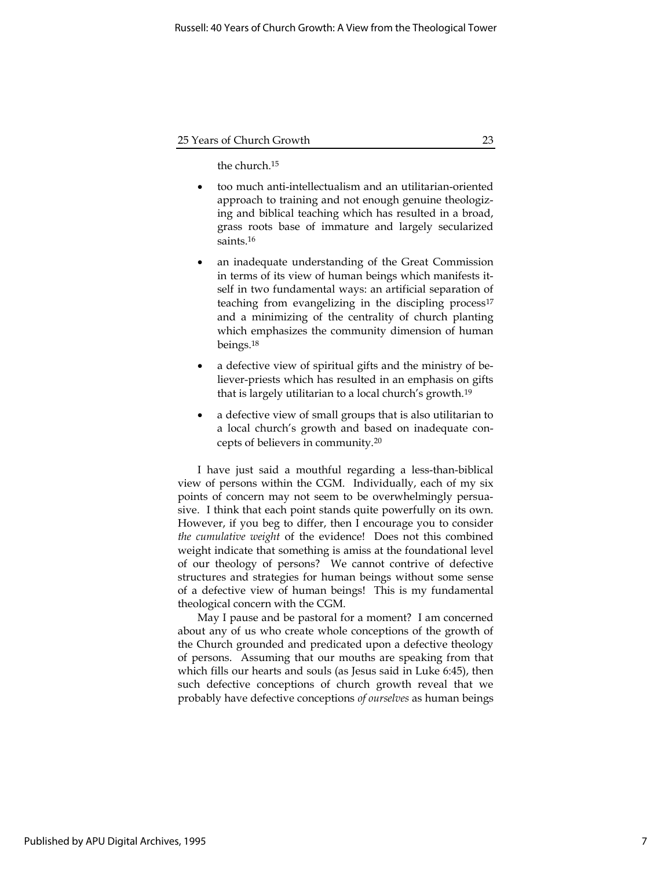the church.<sup>15</sup>

- too much anti-intellectualism and an utilitarian-oriented approach to training and not enough genuine theologizing and biblical teaching which has resulted in a broad, grass roots base of immature and largely secularized saints.<sup>16</sup>
- an inadequate understanding of the Great Commission in terms of its view of human beings which manifests itself in two fundamental ways: an artificial separation of teaching from evangelizing in the discipling process<sup>17</sup> and a minimizing of the centrality of church planting which emphasizes the community dimension of human beings.<sup>18</sup>
- a defective view of spiritual gifts and the ministry of believer-priests which has resulted in an emphasis on gifts that is largely utilitarian to a local church's growth.<sup>19</sup>
- a defective view of small groups that is also utilitarian to a local church's growth and based on inadequate concepts of believers in community.<sup>20</sup>

I have just said a mouthful regarding a less-than-biblical view of persons within the CGM. Individually, each of my six points of concern may not seem to be overwhelmingly persuasive. I think that each point stands quite powerfully on its own. However, if you beg to differ, then I encourage you to consider the cumulative weight of the evidence! Does not this combined weight indicate that something is amiss at the foundational level of our theology of persons? We cannot contrive of defective structures and strategies for human beings without some sense of a defective view of human beings! This is my fundamental theological concern with the CGM.

May I pause and be pastoral for a moment? I am concerned about any of us who create whole conceptions of the growth of the Church grounded and predicated upon a defective theology of persons. Assuming that our mouths are speaking from that which fills our hearts and souls (as Jesus said in Luke 6:45), then such defective conceptions of church growth reveal that we probably have defective conceptions of ourselves as human beings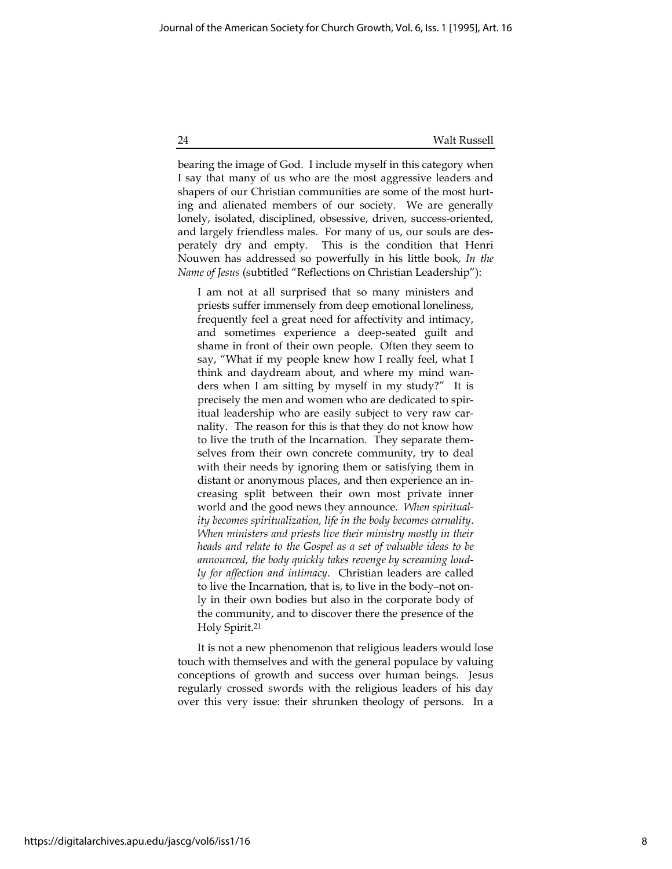bearing the image of God. I include myself in this category when I say that many of us who are the most aggressive leaders and shapers of our Christian communities are some of the most hurting and alienated members of our society. We are generally lonely, isolated, disciplined, obsessive, driven, success-oriented, and largely friendless males. For many of us, our souls are desperately dry and empty. This is the condition that Henri Nouwen has addressed so powerfully in his little book, In the Name of Jesus (subtitled "Reflections on Christian Leadership"):

I am not at all surprised that so many ministers and priests suffer immensely from deep emotional loneliness, frequently feel a great need for affectivity and intimacy, and sometimes experience a deep-seated guilt and shame in front of their own people. Often they seem to say, "What if my people knew how I really feel, what I think and daydream about, and where my mind wanders when I am sitting by myself in my study?" It is precisely the men and women who are dedicated to spiritual leadership who are easily subject to very raw carnality. The reason for this is that they do not know how to live the truth of the Incarnation. They separate themselves from their own concrete community, try to deal with their needs by ignoring them or satisfying them in distant or anonymous places, and then experience an increasing split between their own most private inner world and the good news they announce. When spirituality becomes spiritualization, life in the body becomes carnality. When ministers and priests live their ministry mostly in their heads and relate to the Gospel as a set of valuable ideas to be announced, the body quickly takes revenge by screaming loudly for affection and intimacy. Christian leaders are called to live the Incarnation, that is, to live in the body–not only in their own bodies but also in the corporate body of the community, and to discover there the presence of the Holy Spirit.<sup>21</sup>

It is not a new phenomenon that religious leaders would lose touch with themselves and with the general populace by valuing conceptions of growth and success over human beings. Jesus regularly crossed swords with the religious leaders of his day over this very issue: their shrunken theology of persons. In a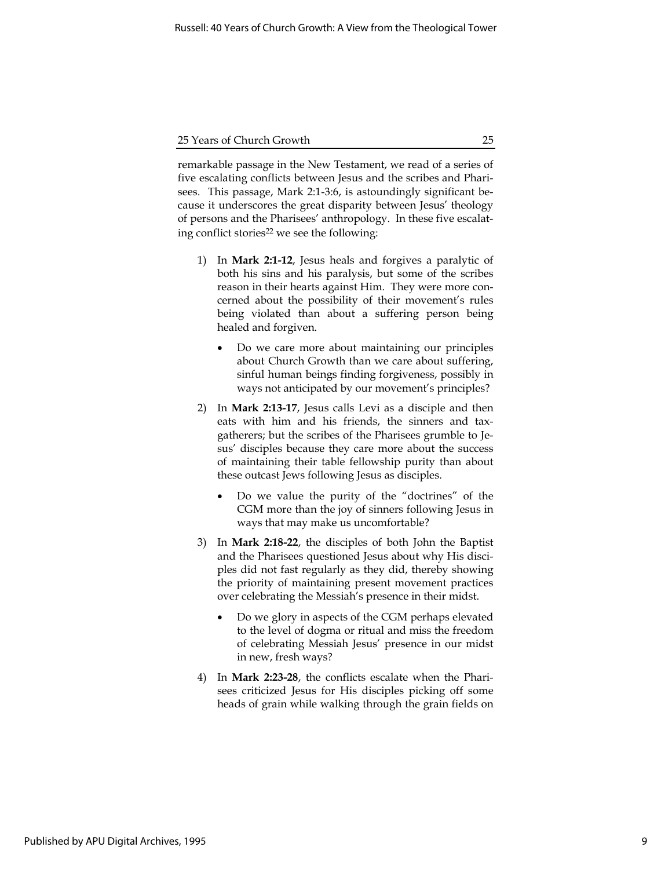remarkable passage in the New Testament, we read of a series of five escalating conflicts between Jesus and the scribes and Pharisees. This passage, Mark 2:1-3:6, is astoundingly significant because it underscores the great disparity between Jesus' theology of persons and the Pharisees' anthropology. In these five escalating conflict stories<sup>22</sup> we see the following:

- 1) In Mark 2:1-12, Jesus heals and forgives a paralytic of both his sins and his paralysis, but some of the scribes reason in their hearts against Him. They were more concerned about the possibility of their movement's rules being violated than about a suffering person being healed and forgiven.
	- Do we care more about maintaining our principles about Church Growth than we care about suffering, sinful human beings finding forgiveness, possibly in ways not anticipated by our movement's principles?
- 2) In Mark 2:13-17, Jesus calls Levi as a disciple and then eats with him and his friends, the sinners and taxgatherers; but the scribes of the Pharisees grumble to Jesus' disciples because they care more about the success of maintaining their table fellowship purity than about these outcast Jews following Jesus as disciples.
	- Do we value the purity of the "doctrines" of the CGM more than the joy of sinners following Jesus in ways that may make us uncomfortable?
- 3) In Mark 2:18-22, the disciples of both John the Baptist and the Pharisees questioned Jesus about why His disciples did not fast regularly as they did, thereby showing the priority of maintaining present movement practices over celebrating the Messiah's presence in their midst.
	- Do we glory in aspects of the CGM perhaps elevated to the level of dogma or ritual and miss the freedom of celebrating Messiah Jesus' presence in our midst in new, fresh ways?
- 4) In Mark 2:23-28, the conflicts escalate when the Pharisees criticized Jesus for His disciples picking off some heads of grain while walking through the grain fields on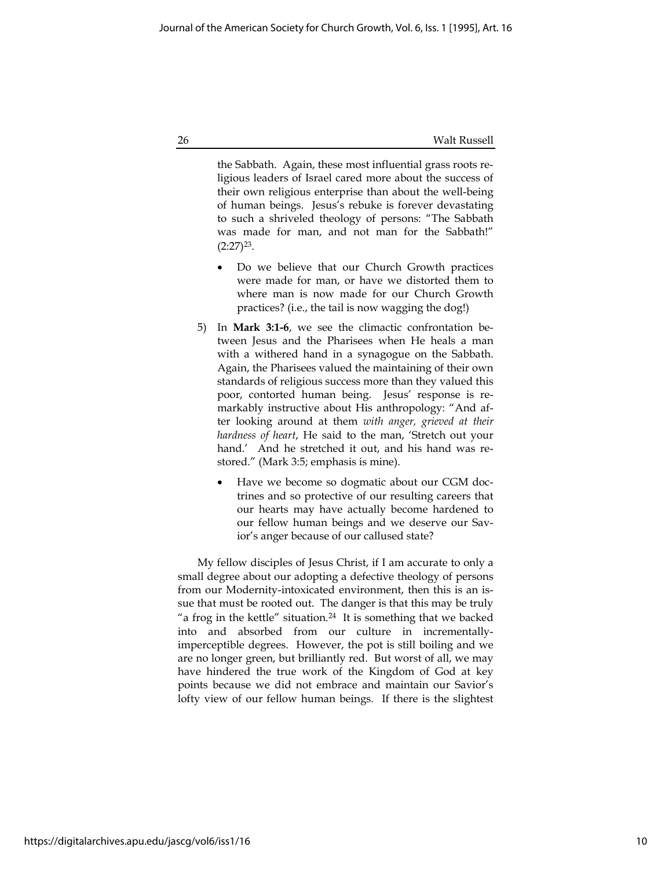the Sabbath. Again, these most influential grass roots religious leaders of Israel cared more about the success of their own religious enterprise than about the well-being of human beings. Jesus's rebuke is forever devastating to such a shriveled theology of persons: "The Sabbath was made for man, and not man for the Sabbath!"  $(2:27)^{23}$ .

- Do we believe that our Church Growth practices were made for man, or have we distorted them to where man is now made for our Church Growth practices? (i.e., the tail is now wagging the dog!)
- 5) In Mark 3:1-6, we see the climactic confrontation between Jesus and the Pharisees when He heals a man with a withered hand in a synagogue on the Sabbath. Again, the Pharisees valued the maintaining of their own standards of religious success more than they valued this poor, contorted human being. Jesus' response is remarkably instructive about His anthropology: "And after looking around at them with anger, grieved at their hardness of heart, He said to the man, 'Stretch out your hand.' And he stretched it out, and his hand was restored." (Mark 3:5; emphasis is mine).
	- Have we become so dogmatic about our CGM doctrines and so protective of our resulting careers that our hearts may have actually become hardened to our fellow human beings and we deserve our Savior's anger because of our callused state?

My fellow disciples of Jesus Christ, if I am accurate to only a small degree about our adopting a defective theology of persons from our Modernity-intoxicated environment, then this is an issue that must be rooted out. The danger is that this may be truly "a frog in the kettle" situation. $24$  It is something that we backed into and absorbed from our culture in incrementallyimperceptible degrees. However, the pot is still boiling and we are no longer green, but brilliantly red. But worst of all, we may have hindered the true work of the Kingdom of God at key points because we did not embrace and maintain our Savior's lofty view of our fellow human beings. If there is the slightest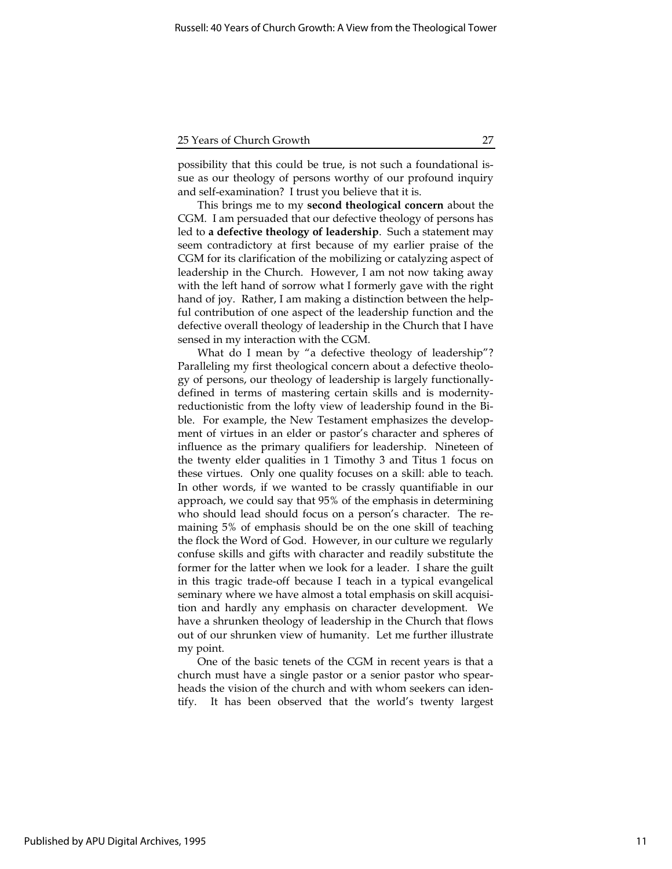possibility that this could be true, is not such a foundational issue as our theology of persons worthy of our profound inquiry and self-examination? I trust you believe that it is.

This brings me to my second theological concern about the CGM. I am persuaded that our defective theology of persons has led to a defective theology of leadership. Such a statement may seem contradictory at first because of my earlier praise of the CGM for its clarification of the mobilizing or catalyzing aspect of leadership in the Church. However, I am not now taking away with the left hand of sorrow what I formerly gave with the right hand of joy. Rather, I am making a distinction between the helpful contribution of one aspect of the leadership function and the defective overall theology of leadership in the Church that I have sensed in my interaction with the CGM.

What do I mean by "a defective theology of leadership"? Paralleling my first theological concern about a defective theology of persons, our theology of leadership is largely functionallydefined in terms of mastering certain skills and is modernityreductionistic from the lofty view of leadership found in the Bible. For example, the New Testament emphasizes the development of virtues in an elder or pastor's character and spheres of influence as the primary qualifiers for leadership. Nineteen of the twenty elder qualities in 1 Timothy 3 and Titus 1 focus on these virtues. Only one quality focuses on a skill: able to teach. In other words, if we wanted to be crassly quantifiable in our approach, we could say that 95% of the emphasis in determining who should lead should focus on a person's character. The remaining 5% of emphasis should be on the one skill of teaching the flock the Word of God. However, in our culture we regularly confuse skills and gifts with character and readily substitute the former for the latter when we look for a leader. I share the guilt in this tragic trade-off because I teach in a typical evangelical seminary where we have almost a total emphasis on skill acquisition and hardly any emphasis on character development. We have a shrunken theology of leadership in the Church that flows out of our shrunken view of humanity. Let me further illustrate my point.

One of the basic tenets of the CGM in recent years is that a church must have a single pastor or a senior pastor who spearheads the vision of the church and with whom seekers can identify. It has been observed that the world's twenty largest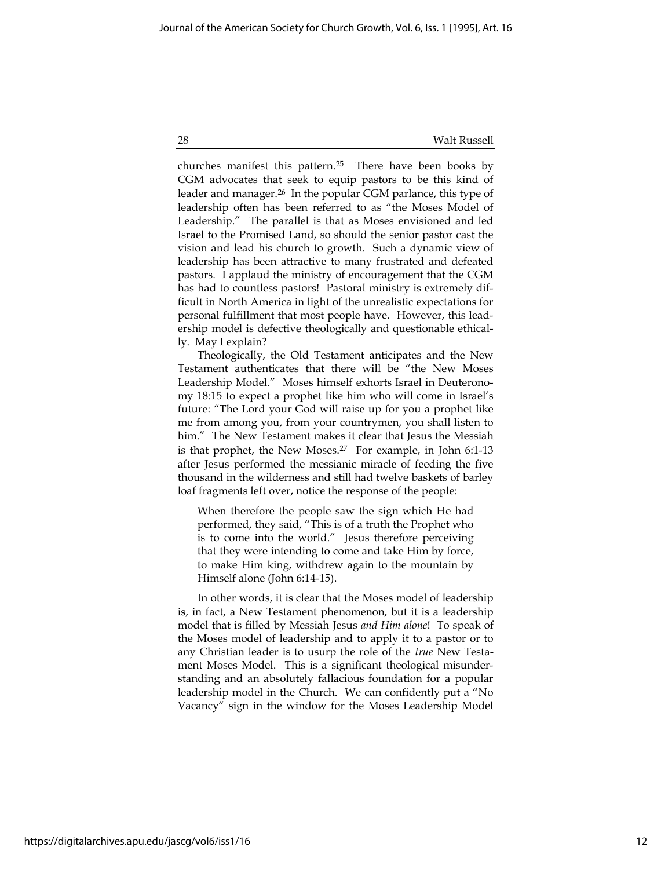churches manifest this pattern.<sup>25</sup> There have been books by CGM advocates that seek to equip pastors to be this kind of leader and manager.<sup>26</sup> In the popular CGM parlance, this type of leadership often has been referred to as "the Moses Model of Leadership." The parallel is that as Moses envisioned and led Israel to the Promised Land, so should the senior pastor cast the vision and lead his church to growth. Such a dynamic view of leadership has been attractive to many frustrated and defeated pastors. I applaud the ministry of encouragement that the CGM has had to countless pastors! Pastoral ministry is extremely difficult in North America in light of the unrealistic expectations for personal fulfillment that most people have. However, this leadership model is defective theologically and questionable ethically. May I explain?

Theologically, the Old Testament anticipates and the New Testament authenticates that there will be "the New Moses Leadership Model." Moses himself exhorts Israel in Deuteronomy 18:15 to expect a prophet like him who will come in Israel's future: "The Lord your God will raise up for you a prophet like me from among you, from your countrymen, you shall listen to him." The New Testament makes it clear that Jesus the Messiah is that prophet, the New Moses.<sup>27</sup> For example, in John 6:1-13 after Jesus performed the messianic miracle of feeding the five thousand in the wilderness and still had twelve baskets of barley loaf fragments left over, notice the response of the people:

When therefore the people saw the sign which He had performed, they said, "This is of a truth the Prophet who is to come into the world." Jesus therefore perceiving that they were intending to come and take Him by force, to make Him king, withdrew again to the mountain by Himself alone (John 6:14-15).

In other words, it is clear that the Moses model of leadership is, in fact, a New Testament phenomenon, but it is a leadership model that is filled by Messiah Jesus and Him alone! To speak of the Moses model of leadership and to apply it to a pastor or to any Christian leader is to usurp the role of the true New Testament Moses Model. This is a significant theological misunderstanding and an absolutely fallacious foundation for a popular leadership model in the Church. We can confidently put a "No Vacancy" sign in the window for the Moses Leadership Model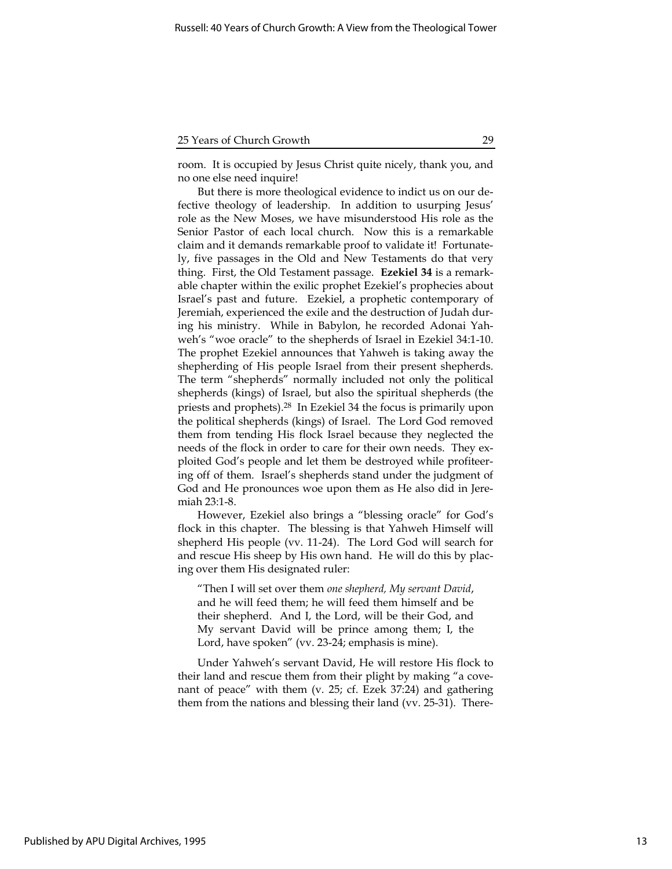room. It is occupied by Jesus Christ quite nicely, thank you, and no one else need inquire!

But there is more theological evidence to indict us on our defective theology of leadership. In addition to usurping Jesus' role as the New Moses, we have misunderstood His role as the Senior Pastor of each local church. Now this is a remarkable claim and it demands remarkable proof to validate it! Fortunately, five passages in the Old and New Testaments do that very thing. First, the Old Testament passage. Ezekiel 34 is a remarkable chapter within the exilic prophet Ezekiel's prophecies about Israel's past and future. Ezekiel, a prophetic contemporary of Jeremiah, experienced the exile and the destruction of Judah during his ministry. While in Babylon, he recorded Adonai Yahweh's "woe oracle" to the shepherds of Israel in Ezekiel 34:1-10. The prophet Ezekiel announces that Yahweh is taking away the shepherding of His people Israel from their present shepherds. The term "shepherds" normally included not only the political shepherds (kings) of Israel, but also the spiritual shepherds (the priests and prophets).<sup>28</sup> In Ezekiel 34 the focus is primarily upon the political shepherds (kings) of Israel. The Lord God removed them from tending His flock Israel because they neglected the needs of the flock in order to care for their own needs. They exploited God's people and let them be destroyed while profiteering off of them. Israel's shepherds stand under the judgment of God and He pronounces woe upon them as He also did in Jeremiah 23:1-8.

However, Ezekiel also brings a "blessing oracle" for God's flock in this chapter. The blessing is that Yahweh Himself will shepherd His people (vv. 11-24). The Lord God will search for and rescue His sheep by His own hand. He will do this by placing over them His designated ruler:

"Then I will set over them one shepherd, My servant David, and he will feed them; he will feed them himself and be their shepherd. And I, the Lord, will be their God, and My servant David will be prince among them; I, the Lord, have spoken" (vv. 23-24; emphasis is mine).

Under Yahweh's servant David, He will restore His flock to their land and rescue them from their plight by making "a covenant of peace" with them (v. 25; cf. Ezek 37:24) and gathering them from the nations and blessing their land (vv. 25-31). There-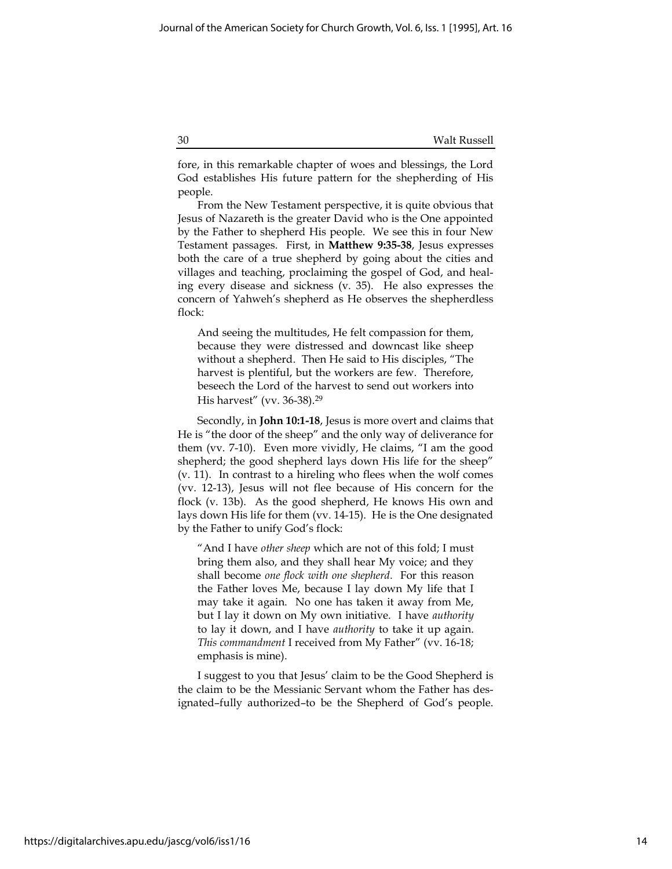fore, in this remarkable chapter of woes and blessings, the Lord God establishes His future pattern for the shepherding of His people.

From the New Testament perspective, it is quite obvious that Jesus of Nazareth is the greater David who is the One appointed by the Father to shepherd His people. We see this in four New Testament passages. First, in Matthew 9:35-38, Jesus expresses both the care of a true shepherd by going about the cities and villages and teaching, proclaiming the gospel of God, and healing every disease and sickness (v. 35). He also expresses the concern of Yahweh's shepherd as He observes the shepherdless flock:

And seeing the multitudes, He felt compassion for them, because they were distressed and downcast like sheep without a shepherd. Then He said to His disciples, "The harvest is plentiful, but the workers are few. Therefore, beseech the Lord of the harvest to send out workers into His harvest" (vv. 36-38).<sup>29</sup>

Secondly, in John 10:1-18, Jesus is more overt and claims that He is "the door of the sheep" and the only way of deliverance for them (vv. 7-10). Even more vividly, He claims, "I am the good shepherd; the good shepherd lays down His life for the sheep" (v. 11). In contrast to a hireling who flees when the wolf comes (vv. 12-13), Jesus will not flee because of His concern for the flock (v. 13b). As the good shepherd, He knows His own and lays down His life for them (vv. 14-15). He is the One designated by the Father to unify God's flock:

"And I have other sheep which are not of this fold; I must bring them also, and they shall hear My voice; and they shall become one flock with one shepherd. For this reason the Father loves Me, because I lay down My life that I may take it again. No one has taken it away from Me, but I lay it down on My own initiative. I have authority to lay it down, and I have authority to take it up again. This commandment I received from My Father" (vv. 16-18; emphasis is mine).

I suggest to you that Jesus' claim to be the Good Shepherd is the claim to be the Messianic Servant whom the Father has designated–fully authorized–to be the Shepherd of God's people.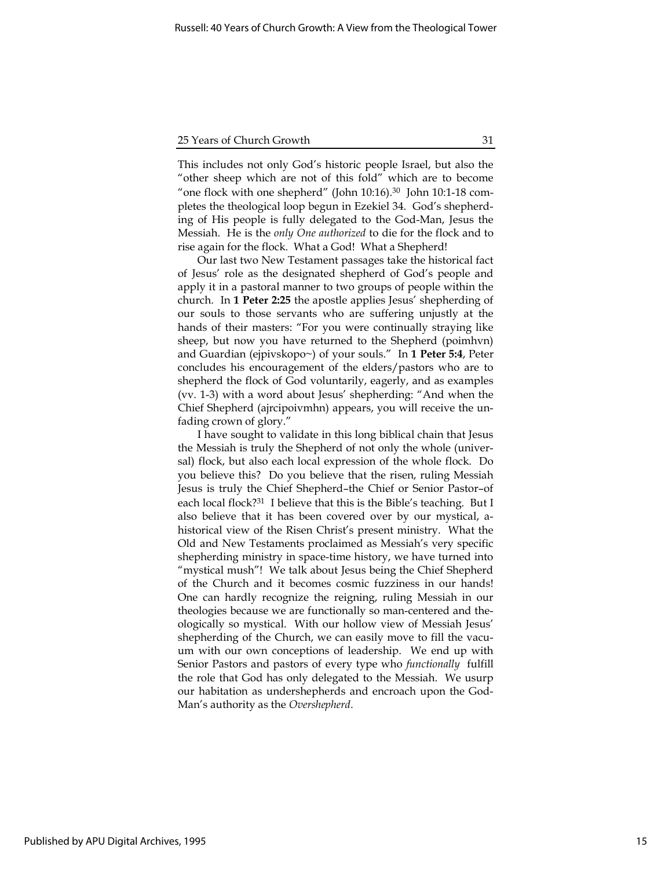This includes not only God's historic people Israel, but also the "other sheep which are not of this fold" which are to become "one flock with one shepherd" (John 10:16).<sup>30</sup> John 10:1-18 completes the theological loop begun in Ezekiel 34. God's shepherding of His people is fully delegated to the God-Man, Jesus the Messiah. He is the only One authorized to die for the flock and to rise again for the flock. What a God! What a Shepherd!

Our last two New Testament passages take the historical fact of Jesus' role as the designated shepherd of God's people and apply it in a pastoral manner to two groups of people within the church. In 1 Peter 2:25 the apostle applies Jesus' shepherding of our souls to those servants who are suffering unjustly at the hands of their masters: "For you were continually straying like sheep, but now you have returned to the Shepherd (poimhvn) and Guardian (ejpivskopo~) of your souls." In 1 Peter 5:4, Peter concludes his encouragement of the elders/pastors who are to shepherd the flock of God voluntarily, eagerly, and as examples (vv. 1-3) with a word about Jesus' shepherding: "And when the Chief Shepherd (ajrcipoivmhn) appears, you will receive the unfading crown of glory."

I have sought to validate in this long biblical chain that Jesus the Messiah is truly the Shepherd of not only the whole (universal) flock, but also each local expression of the whole flock. Do you believe this? Do you believe that the risen, ruling Messiah Jesus is truly the Chief Shepherd–the Chief or Senior Pastor–of each local flock?<sup>31</sup> I believe that this is the Bible's teaching. But I also believe that it has been covered over by our mystical, ahistorical view of the Risen Christ's present ministry. What the Old and New Testaments proclaimed as Messiah's very specific shepherding ministry in space-time history, we have turned into "mystical mush"! We talk about Jesus being the Chief Shepherd of the Church and it becomes cosmic fuzziness in our hands! One can hardly recognize the reigning, ruling Messiah in our theologies because we are functionally so man-centered and theologically so mystical. With our hollow view of Messiah Jesus' shepherding of the Church, we can easily move to fill the vacuum with our own conceptions of leadership. We end up with Senior Pastors and pastors of every type who functionally fulfill the role that God has only delegated to the Messiah. We usurp our habitation as undershepherds and encroach upon the God-Man's authority as the Overshepherd.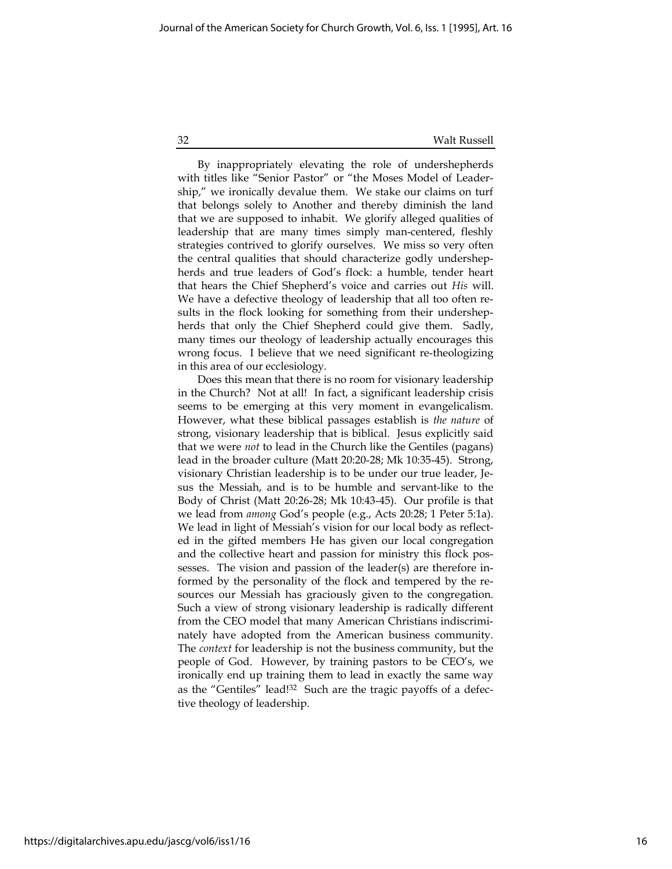By inappropriately elevating the role of undershepherds with titles like "Senior Pastor" or "the Moses Model of Leadership," we ironically devalue them. We stake our claims on turf that belongs solely to Another and thereby diminish the land that we are supposed to inhabit. We glorify alleged qualities of leadership that are many times simply man-centered, fleshly strategies contrived to glorify ourselves. We miss so very often the central qualities that should characterize godly undershepherds and true leaders of God's flock: a humble, tender heart that hears the Chief Shepherd's voice and carries out His will. We have a defective theology of leadership that all too often results in the flock looking for something from their undershepherds that only the Chief Shepherd could give them. Sadly, many times our theology of leadership actually encourages this wrong focus. I believe that we need significant re-theologizing in this area of our ecclesiology.

Does this mean that there is no room for visionary leadership in the Church? Not at all! In fact, a significant leadership crisis seems to be emerging at this very moment in evangelicalism. However, what these biblical passages establish is the nature of strong, visionary leadership that is biblical. Jesus explicitly said that we were not to lead in the Church like the Gentiles (pagans) lead in the broader culture (Matt 20:20-28; Mk 10:35-45). Strong, visionary Christian leadership is to be under our true leader, Jesus the Messiah, and is to be humble and servant-like to the Body of Christ (Matt 20:26-28; Mk 10:43-45). Our profile is that we lead from among God's people (e.g., Acts 20:28; 1 Peter 5:1a). We lead in light of Messiah's vision for our local body as reflected in the gifted members He has given our local congregation and the collective heart and passion for ministry this flock possesses. The vision and passion of the leader(s) are therefore informed by the personality of the flock and tempered by the resources our Messiah has graciously given to the congregation. Such a view of strong visionary leadership is radically different from the CEO model that many American Christians indiscriminately have adopted from the American business community. The context for leadership is not the business community, but the people of God. However, by training pastors to be CEO's, we ironically end up training them to lead in exactly the same way as the "Gentiles" lead!32 Such are the tragic payoffs of a defective theology of leadership.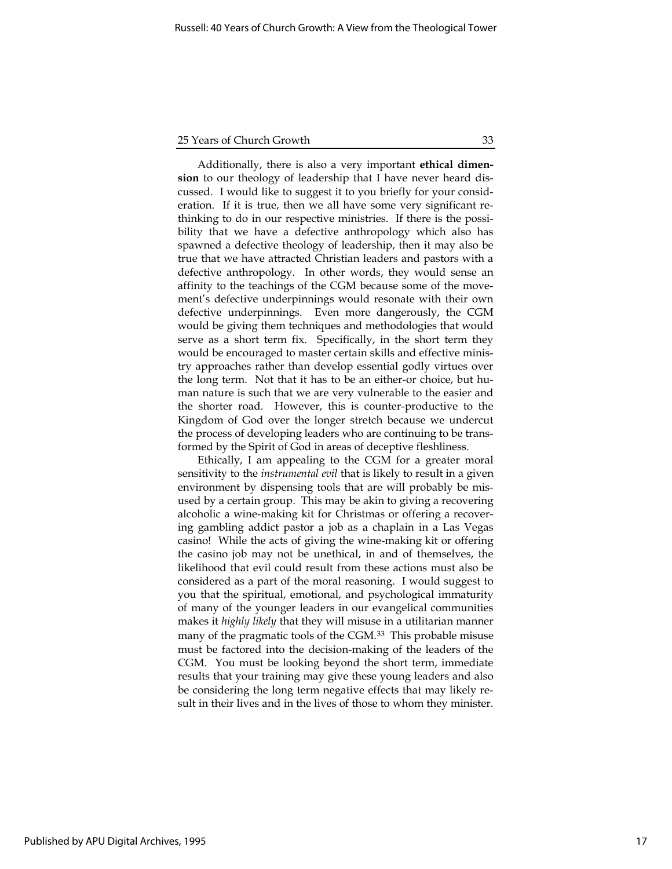Additionally, there is also a very important ethical dimension to our theology of leadership that I have never heard discussed. I would like to suggest it to you briefly for your consideration. If it is true, then we all have some very significant rethinking to do in our respective ministries. If there is the possibility that we have a defective anthropology which also has spawned a defective theology of leadership, then it may also be true that we have attracted Christian leaders and pastors with a defective anthropology. In other words, they would sense an affinity to the teachings of the CGM because some of the movement's defective underpinnings would resonate with their own defective underpinnings. Even more dangerously, the CGM would be giving them techniques and methodologies that would serve as a short term fix. Specifically, in the short term they would be encouraged to master certain skills and effective ministry approaches rather than develop essential godly virtues over the long term. Not that it has to be an either-or choice, but human nature is such that we are very vulnerable to the easier and the shorter road. However, this is counter-productive to the Kingdom of God over the longer stretch because we undercut the process of developing leaders who are continuing to be transformed by the Spirit of God in areas of deceptive fleshliness.

Ethically, I am appealing to the CGM for a greater moral sensitivity to the *instrumental evil* that is likely to result in a given environment by dispensing tools that are will probably be misused by a certain group. This may be akin to giving a recovering alcoholic a wine-making kit for Christmas or offering a recovering gambling addict pastor a job as a chaplain in a Las Vegas casino! While the acts of giving the wine-making kit or offering the casino job may not be unethical, in and of themselves, the likelihood that evil could result from these actions must also be considered as a part of the moral reasoning. I would suggest to you that the spiritual, emotional, and psychological immaturity of many of the younger leaders in our evangelical communities makes it highly likely that they will misuse in a utilitarian manner many of the pragmatic tools of the CGM.<sup>33</sup> This probable misuse must be factored into the decision-making of the leaders of the CGM. You must be looking beyond the short term, immediate results that your training may give these young leaders and also be considering the long term negative effects that may likely result in their lives and in the lives of those to whom they minister.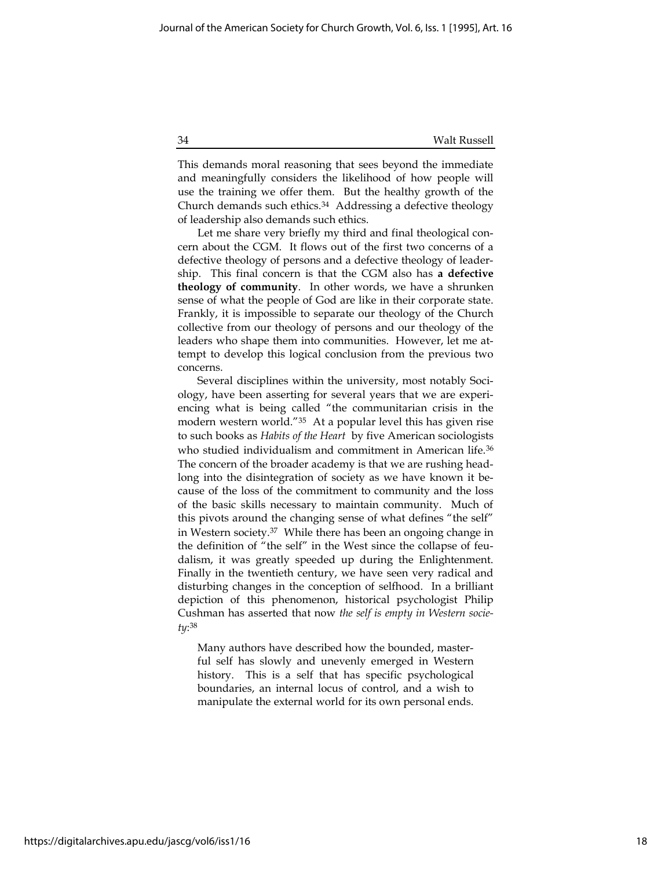This demands moral reasoning that sees beyond the immediate and meaningfully considers the likelihood of how people will use the training we offer them. But the healthy growth of the Church demands such ethics.<sup>34</sup> Addressing a defective theology of leadership also demands such ethics.

Let me share very briefly my third and final theological concern about the CGM. It flows out of the first two concerns of a defective theology of persons and a defective theology of leadership. This final concern is that the CGM also has a defective theology of community. In other words, we have a shrunken sense of what the people of God are like in their corporate state. Frankly, it is impossible to separate our theology of the Church collective from our theology of persons and our theology of the leaders who shape them into communities. However, let me attempt to develop this logical conclusion from the previous two concerns.

Several disciplines within the university, most notably Sociology, have been asserting for several years that we are experiencing what is being called "the communitarian crisis in the modern western world."<sup>35</sup> At a popular level this has given rise to such books as Habits of the Heart by five American sociologists who studied individualism and commitment in American life.<sup>36</sup> The concern of the broader academy is that we are rushing headlong into the disintegration of society as we have known it because of the loss of the commitment to community and the loss of the basic skills necessary to maintain community. Much of this pivots around the changing sense of what defines "the self" in Western society.<sup>37</sup> While there has been an ongoing change in the definition of "the self" in the West since the collapse of feudalism, it was greatly speeded up during the Enlightenment. Finally in the twentieth century, we have seen very radical and disturbing changes in the conception of selfhood. In a brilliant depiction of this phenomenon, historical psychologist Philip Cushman has asserted that now the self is empty in Western society: 38

Many authors have described how the bounded, masterful self has slowly and unevenly emerged in Western history. This is a self that has specific psychological boundaries, an internal locus of control, and a wish to manipulate the external world for its own personal ends.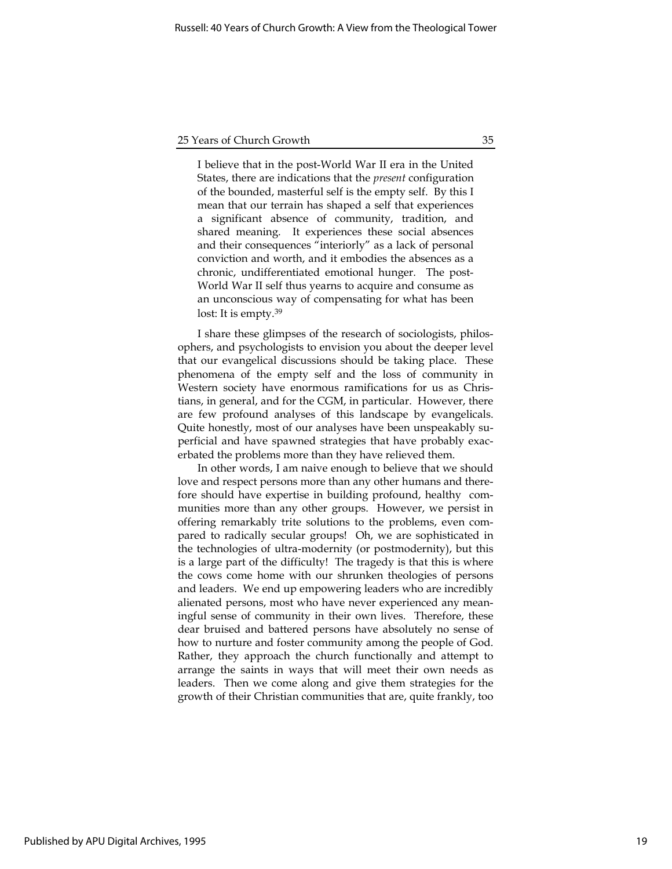I believe that in the post-World War II era in the United States, there are indications that the present configuration of the bounded, masterful self is the empty self. By this I mean that our terrain has shaped a self that experiences a significant absence of community, tradition, and shared meaning. It experiences these social absences and their consequences "interiorly" as a lack of personal conviction and worth, and it embodies the absences as a chronic, undifferentiated emotional hunger. The post-World War II self thus yearns to acquire and consume as an unconscious way of compensating for what has been lost: It is empty.<sup>39</sup>

I share these glimpses of the research of sociologists, philosophers, and psychologists to envision you about the deeper level that our evangelical discussions should be taking place. These phenomena of the empty self and the loss of community in Western society have enormous ramifications for us as Christians, in general, and for the CGM, in particular. However, there are few profound analyses of this landscape by evangelicals. Quite honestly, most of our analyses have been unspeakably superficial and have spawned strategies that have probably exacerbated the problems more than they have relieved them.

In other words, I am naive enough to believe that we should love and respect persons more than any other humans and therefore should have expertise in building profound, healthy communities more than any other groups. However, we persist in offering remarkably trite solutions to the problems, even compared to radically secular groups! Oh, we are sophisticated in the technologies of ultra-modernity (or postmodernity), but this is a large part of the difficulty! The tragedy is that this is where the cows come home with our shrunken theologies of persons and leaders. We end up empowering leaders who are incredibly alienated persons, most who have never experienced any meaningful sense of community in their own lives. Therefore, these dear bruised and battered persons have absolutely no sense of how to nurture and foster community among the people of God. Rather, they approach the church functionally and attempt to arrange the saints in ways that will meet their own needs as leaders. Then we come along and give them strategies for the growth of their Christian communities that are, quite frankly, too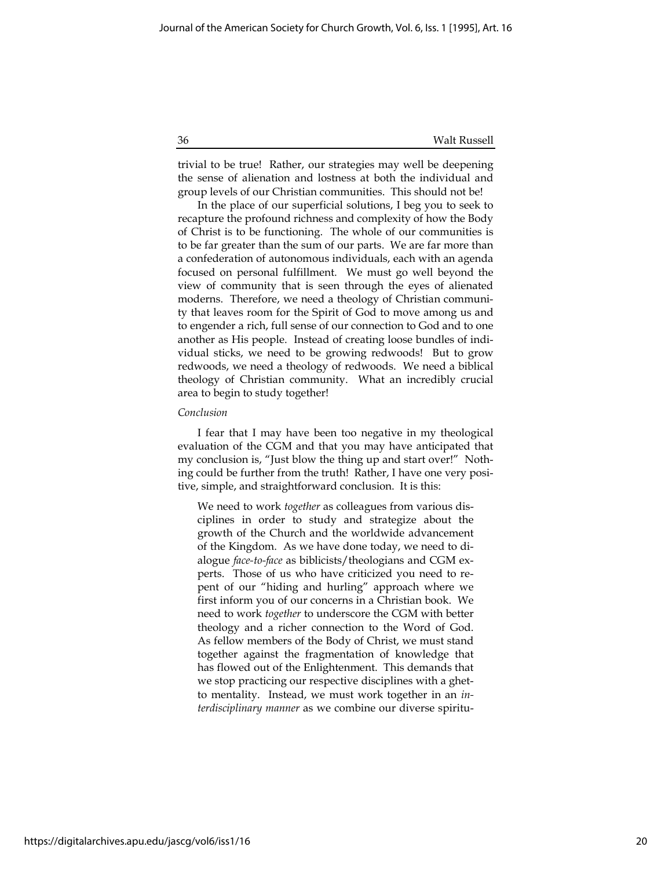trivial to be true! Rather, our strategies may well be deepening the sense of alienation and lostness at both the individual and group levels of our Christian communities. This should not be!

In the place of our superficial solutions, I beg you to seek to recapture the profound richness and complexity of how the Body of Christ is to be functioning. The whole of our communities is to be far greater than the sum of our parts. We are far more than a confederation of autonomous individuals, each with an agenda focused on personal fulfillment. We must go well beyond the view of community that is seen through the eyes of alienated moderns. Therefore, we need a theology of Christian community that leaves room for the Spirit of God to move among us and to engender a rich, full sense of our connection to God and to one another as His people. Instead of creating loose bundles of individual sticks, we need to be growing redwoods! But to grow redwoods, we need a theology of redwoods. We need a biblical theology of Christian community. What an incredibly crucial area to begin to study together!

#### Conclusion

I fear that I may have been too negative in my theological evaluation of the CGM and that you may have anticipated that my conclusion is, "Just blow the thing up and start over!" Nothing could be further from the truth! Rather, I have one very positive, simple, and straightforward conclusion. It is this:

We need to work together as colleagues from various disciplines in order to study and strategize about the growth of the Church and the worldwide advancement of the Kingdom. As we have done today, we need to dialogue face-to-face as biblicists/theologians and CGM experts. Those of us who have criticized you need to repent of our "hiding and hurling" approach where we first inform you of our concerns in a Christian book. We need to work together to underscore the CGM with better theology and a richer connection to the Word of God. As fellow members of the Body of Christ, we must stand together against the fragmentation of knowledge that has flowed out of the Enlightenment. This demands that we stop practicing our respective disciplines with a ghetto mentality. Instead, we must work together in an interdisciplinary manner as we combine our diverse spiritu-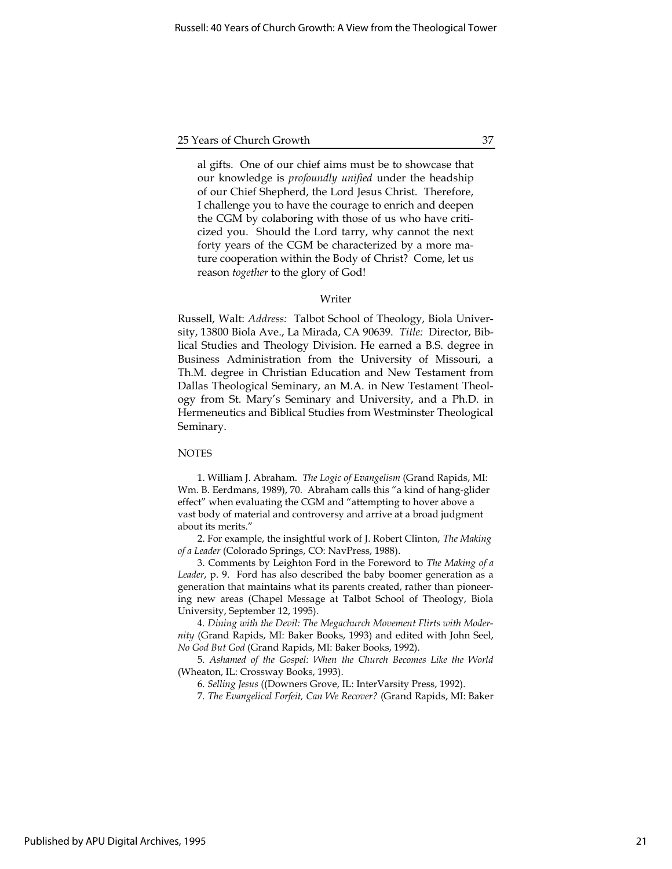al gifts. One of our chief aims must be to showcase that our knowledge is profoundly unified under the headship of our Chief Shepherd, the Lord Jesus Christ. Therefore, I challenge you to have the courage to enrich and deepen the CGM by colaboring with those of us who have criticized you. Should the Lord tarry, why cannot the next forty years of the CGM be characterized by a more mature cooperation within the Body of Christ? Come, let us reason together to the glory of God!

#### Writer

Russell, Walt: Address: Talbot School of Theology, Biola University, 13800 Biola Ave., La Mirada, CA 90639. Title: Director, Biblical Studies and Theology Division. He earned a B.S. degree in Business Administration from the University of Missouri, a Th.M. degree in Christian Education and New Testament from Dallas Theological Seminary, an M.A. in New Testament Theology from St. Mary's Seminary and University, and a Ph.D. in Hermeneutics and Biblical Studies from Westminster Theological Seminary.

#### **NOTES**

1. William J. Abraham. The Logic of Evangelism (Grand Rapids, MI: Wm. B. Eerdmans, 1989), 70. Abraham calls this "a kind of hang-glider effect" when evaluating the CGM and "attempting to hover above a vast body of material and controversy and arrive at a broad judgment about its merits."

2. For example, the insightful work of J. Robert Clinton, The Making of a Leader (Colorado Springs, CO: NavPress, 1988).

3. Comments by Leighton Ford in the Foreword to The Making of a Leader, p. 9. Ford has also described the baby boomer generation as a generation that maintains what its parents created, rather than pioneering new areas (Chapel Message at Talbot School of Theology, Biola University, September 12, 1995).

4. Dining with the Devil: The Megachurch Movement Flirts with Modernity (Grand Rapids, MI: Baker Books, 1993) and edited with John Seel, No God But God (Grand Rapids, MI: Baker Books, 1992).

5. Ashamed of the Gospel: When the Church Becomes Like the World (Wheaton, IL: Crossway Books, 1993).

6. Selling Jesus ((Downers Grove, IL: InterVarsity Press, 1992).

7. The Evangelical Forfeit, Can We Recover? (Grand Rapids, MI: Baker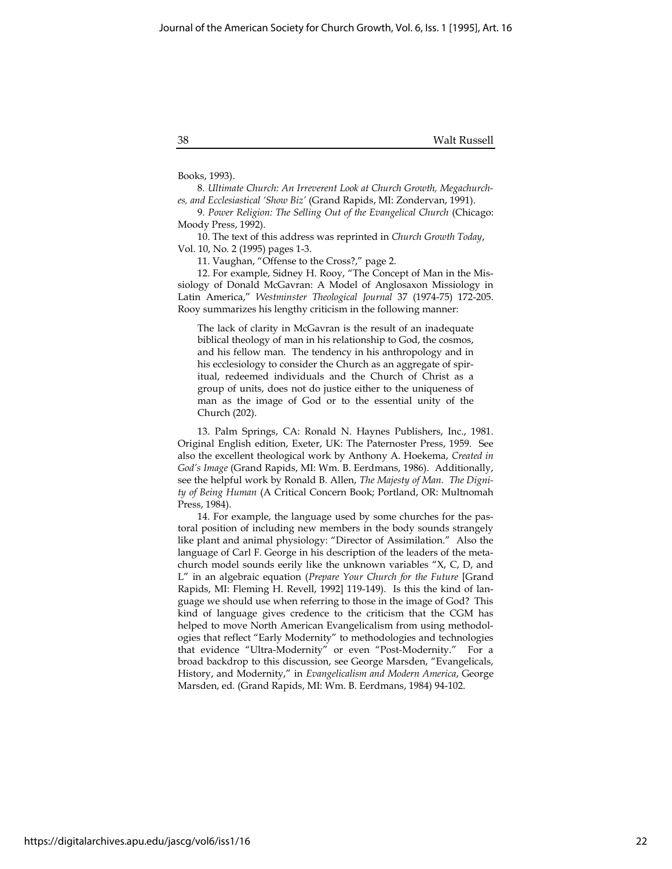Books, 1993).

8. Ultimate Church: An Irreverent Look at Church Growth, Megachurches, and Ecclesiastical 'Show Biz' (Grand Rapids, MI: Zondervan, 1991).

9. Power Religion: The Selling Out of the Evangelical Church (Chicago: Moody Press, 1992).

10. The text of this address was reprinted in Church Growth Today, Vol. 10, No. 2 (1995) pages 1-3.

11. Vaughan, "Offense to the Cross?," page 2.

12. For example, Sidney H. Rooy, "The Concept of Man in the Missiology of Donald McGavran: A Model of Anglosaxon Missiology in Latin America," Westminster Theological Journal 37 (1974-75) 172-205. Rooy summarizes his lengthy criticism in the following manner:

The lack of clarity in McGavran is the result of an inadequate biblical theology of man in his relationship to God, the cosmos, and his fellow man. The tendency in his anthropology and in his ecclesiology to consider the Church as an aggregate of spiritual, redeemed individuals and the Church of Christ as a group of units, does not do justice either to the uniqueness of man as the image of God or to the essential unity of the Church (202).

13. Palm Springs, CA: Ronald N. Haynes Publishers, Inc., 1981. Original English edition, Exeter, UK: The Paternoster Press, 1959. See also the excellent theological work by Anthony A. Hoekema, Created in God's Image (Grand Rapids, MI: Wm. B. Eerdmans, 1986). Additionally, see the helpful work by Ronald B. Allen, The Majesty of Man. The Dignity of Being Human (A Critical Concern Book; Portland, OR: Multnomah Press, 1984).

14. For example, the language used by some churches for the pastoral position of including new members in the body sounds strangely like plant and animal physiology: "Director of Assimilation." Also the language of Carl F. George in his description of the leaders of the metachurch model sounds eerily like the unknown variables "X, C, D, and L" in an algebraic equation (Prepare Your Church for the Future [Grand Rapids, MI: Fleming H. Revell, 1992] 119-149). Is this the kind of language we should use when referring to those in the image of God? This kind of language gives credence to the criticism that the CGM has helped to move North American Evangelicalism from using methodologies that reflect "Early Modernity" to methodologies and technologies that evidence "Ultra-Modernity" or even "Post-Modernity." For a broad backdrop to this discussion, see George Marsden, "Evangelicals, History, and Modernity," in Evangelicalism and Modern America, George Marsden, ed. (Grand Rapids, MI: Wm. B. Eerdmans, 1984) 94-102.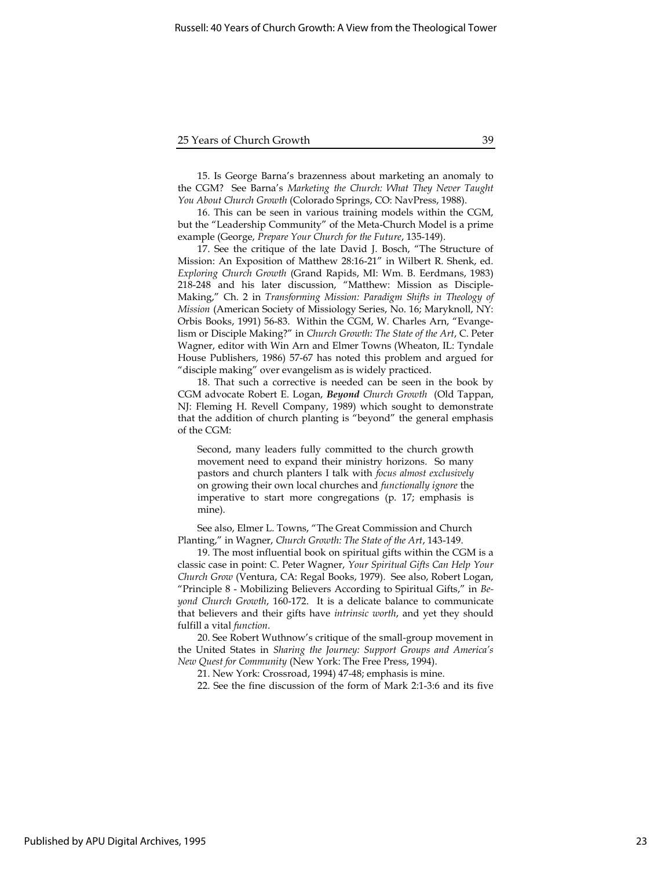15. Is George Barna's brazenness about marketing an anomaly to the CGM? See Barna's Marketing the Church: What They Never Taught You About Church Growth (Colorado Springs, CO: NavPress, 1988).

16. This can be seen in various training models within the CGM, but the "Leadership Community" of the Meta-Church Model is a prime example (George, Prepare Your Church for the Future, 135-149).

17. See the critique of the late David J. Bosch, "The Structure of Mission: An Exposition of Matthew 28:16-21" in Wilbert R. Shenk, ed. Exploring Church Growth (Grand Rapids, MI: Wm. B. Eerdmans, 1983) 218-248 and his later discussion, "Matthew: Mission as Disciple-Making," Ch. 2 in Transforming Mission: Paradigm Shifts in Theology of Mission (American Society of Missiology Series, No. 16; Maryknoll, NY: Orbis Books, 1991) 56-83. Within the CGM, W. Charles Arn, "Evangelism or Disciple Making?" in Church Growth: The State of the Art, C. Peter Wagner, editor with Win Arn and Elmer Towns (Wheaton, IL: Tyndale House Publishers, 1986) 57-67 has noted this problem and argued for "disciple making" over evangelism as is widely practiced.

18. That such a corrective is needed can be seen in the book by CGM advocate Robert E. Logan, Beyond Church Growth (Old Tappan, NJ: Fleming H. Revell Company, 1989) which sought to demonstrate that the addition of church planting is "beyond" the general emphasis of the CGM:

Second, many leaders fully committed to the church growth movement need to expand their ministry horizons. So many pastors and church planters I talk with focus almost exclusively on growing their own local churches and functionally ignore the imperative to start more congregations (p. 17; emphasis is mine).

See also, Elmer L. Towns, "The Great Commission and Church Planting," in Wagner, Church Growth: The State of the Art, 143-149.

19. The most influential book on spiritual gifts within the CGM is a classic case in point: C. Peter Wagner, Your Spiritual Gifts Can Help Your Church Grow (Ventura, CA: Regal Books, 1979). See also, Robert Logan, "Principle 8 - Mobilizing Believers According to Spiritual Gifts," in Beyond Church Growth, 160-172. It is a delicate balance to communicate that believers and their gifts have intrinsic worth, and yet they should fulfill a vital function.

20. See Robert Wuthnow's critique of the small-group movement in the United States in Sharing the Journey: Support Groups and America's New Quest for Community (New York: The Free Press, 1994).

21. New York: Crossroad, 1994) 47-48; emphasis is mine.

22. See the fine discussion of the form of Mark 2:1-3:6 and its five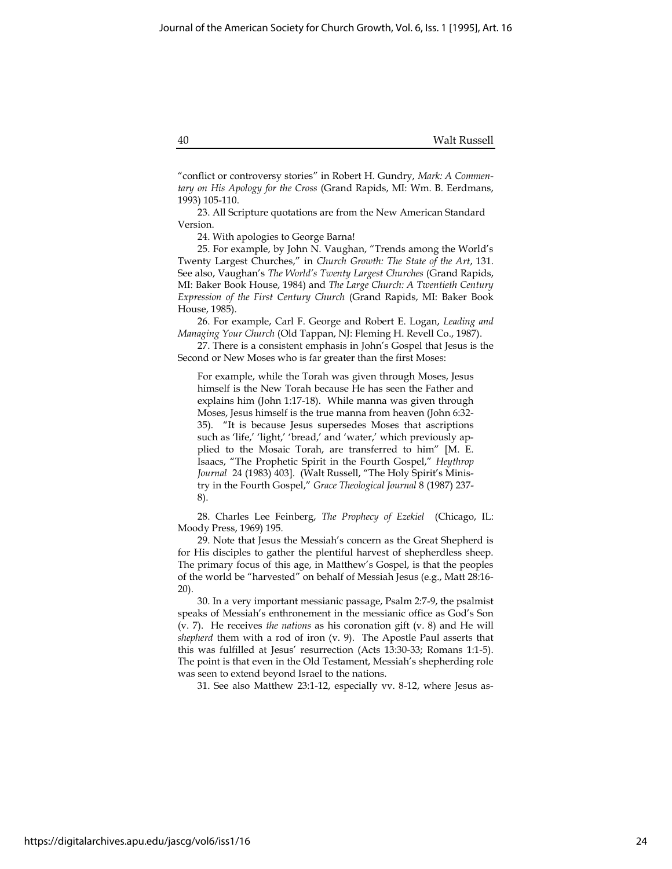"conflict or controversy stories" in Robert H. Gundry, Mark: A Commentary on His Apology for the Cross (Grand Rapids, MI: Wm. B. Eerdmans, 1993) 105-110.

23. All Scripture quotations are from the New American Standard Version.

24. With apologies to George Barna!

25. For example, by John N. Vaughan, "Trends among the World's Twenty Largest Churches," in Church Growth: The State of the Art, 131. See also, Vaughan's The World's Twenty Largest Churches (Grand Rapids, MI: Baker Book House, 1984) and The Large Church: A Twentieth Century Expression of the First Century Church (Grand Rapids, MI: Baker Book House, 1985).

26. For example, Carl F. George and Robert E. Logan, Leading and Managing Your Church (Old Tappan, NJ: Fleming H. Revell Co., 1987).

27. There is a consistent emphasis in John's Gospel that Jesus is the Second or New Moses who is far greater than the first Moses:

For example, while the Torah was given through Moses, Jesus himself is the New Torah because He has seen the Father and explains him (John 1:17-18). While manna was given through Moses, Jesus himself is the true manna from heaven (John 6:32- 35). "It is because Jesus supersedes Moses that ascriptions such as 'life,' 'light,' 'bread,' and 'water,' which previously applied to the Mosaic Torah, are transferred to him" [M. E. Isaacs, "The Prophetic Spirit in the Fourth Gospel," Heythrop Journal 24 (1983) 403]. (Walt Russell, "The Holy Spirit's Ministry in the Fourth Gospel," Grace Theological Journal 8 (1987) 237- 8).

28. Charles Lee Feinberg, The Prophecy of Ezekiel (Chicago, IL: Moody Press, 1969) 195.

29. Note that Jesus the Messiah's concern as the Great Shepherd is for His disciples to gather the plentiful harvest of shepherdless sheep. The primary focus of this age, in Matthew's Gospel, is that the peoples of the world be "harvested" on behalf of Messiah Jesus (e.g., Matt 28:16- 20).

30. In a very important messianic passage, Psalm 2:7-9, the psalmist speaks of Messiah's enthronement in the messianic office as God's Son (v. 7). He receives the nations as his coronation gift (v. 8) and He will shepherd them with a rod of iron  $(v. 9)$ . The Apostle Paul asserts that this was fulfilled at Jesus' resurrection (Acts 13:30-33; Romans 1:1-5). The point is that even in the Old Testament, Messiah's shepherding role was seen to extend beyond Israel to the nations.

31. See also Matthew 23:1-12, especially vv. 8-12, where Jesus as-